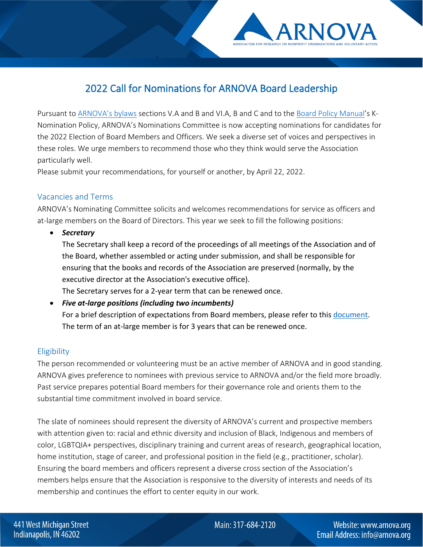

Pursuant to **ARNOVA's bylaws sections V.A and B and VI.A, B and C and to the [Board Policy Manual'](https://www.arnova.org/page/boardpolicymanual)s K-**Nomination Policy, ARNOVA's Nominations Committee is now accepting nominations for candidates for the 2022 Election of Board Members and Officers. We seek a diverse set of voices and perspectives in these roles. We urge members to recommend those who they think would serve the Association particularly well.

Please submit your recommendations, for yourself or another, by April 22, 2022.

# Vacancies and Terms

ARNOVA's Nominating Committee solicits and welcomes recommendations for service as officers and at-large members on the Board of Directors. This year we seek to fill the following positions:

• *Secretary*

The Secretary shall keep a record of the proceedings of all meetings of the Association and of the Board, whether assembled or acting under submission, and shall be responsible for ensuring that the books and records of the Association are preserved (normally, by the executive director at the Association's executive office).

The Secretary serves for a 2-year term that can be renewed once.

• *Five at-large positions (including two incumbents)* For a brief description of expectations from Board members, please refer to this [document.](https://www.arnova.org/page/boardresponsibilities) The term of an at-large member is for 3 years that can be renewed once.

# **Eligibility**

The person recommended or volunteering must be an active member of ARNOVA and in good standing. ARNOVA gives preference to nominees with previous service to ARNOVA and/or the field more broadly. Past service prepares potential Board members for their governance role and orients them to the substantial time commitment involved in board service.

The slate of nominees should represent the diversity of ARNOVA's current and prospective members with attention given to: racial and ethnic diversity and inclusion of Black, Indigenous and members of color, LGBTQIA+ perspectives, disciplinary training and current areas of research, geographical location, home institution, stage of career, and professional position in the field (e.g., practitioner, scholar). Ensuring the board members and officers represent a diverse cross section of the Association's members helps ensure that the Association is responsive to the diversity of interests and needs of its membership and continues the effort to center equity in our work.